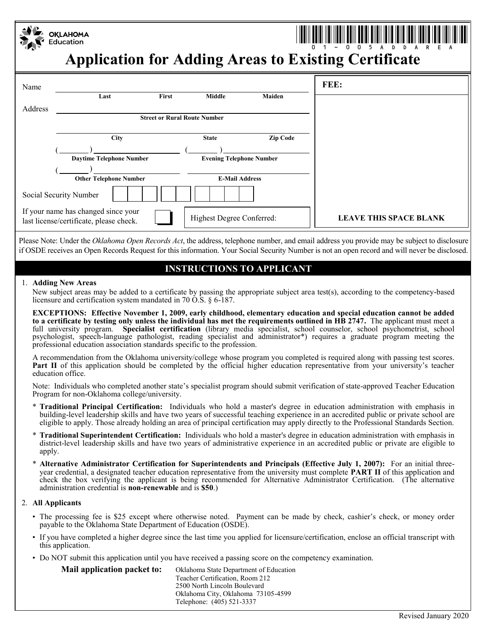|         | <b>OKLAHOMA</b><br>Education                                                   |       |                                 |          | <b>Application for Adding Areas to Existing Certificate</b> |
|---------|--------------------------------------------------------------------------------|-------|---------------------------------|----------|-------------------------------------------------------------|
| Name    |                                                                                |       |                                 |          | FEE:                                                        |
|         | Last                                                                           | First | <b>Middle</b>                   | Maiden   |                                                             |
| Address |                                                                                |       |                                 |          |                                                             |
|         | <b>Street or Rural Route Number</b>                                            |       |                                 |          |                                                             |
|         | <b>City</b>                                                                    |       | <b>State</b>                    | Zip Code |                                                             |
|         |                                                                                |       |                                 |          |                                                             |
|         | <b>Daytime Telephone Number</b>                                                |       | <b>Evening Telephone Number</b> |          |                                                             |
|         |                                                                                |       |                                 |          |                                                             |
|         | <b>Other Telephone Number</b>                                                  |       | <b>E-Mail Address</b>           |          |                                                             |
|         | Social Security Number                                                         |       |                                 |          |                                                             |
|         | If your name has changed since your<br>last license/certificate, please check. |       | Highest Degree Conferred:       |          | <b>LEAVE THIS SPACE BLANK</b>                               |

Please Note: Under the *Oklahoma Open Records Act*, the address, telephone number, and email address you provide may be subject to disclosure if OSDE receives an Open Records Request for this information. Your Social Security Number is not an open record and will never be disclosed.

## **INSTRUCTIONS TO APPLICANT**

### 1. **Adding New Areas**

New subject areas may be added to a certificate by passing the appropriate subject area test(s), according to the competency-based licensure and certification system mandated in 70 O.S. § 6-187.

**EXCEPTIONS: Effective November 1, 2009, early childhood, elementary education and special education cannot be added to a certificate by testing only unless the individual has met the requirements outlined in HB 2747.** The applicant must meet a full university program. **Specialist certification** (library media specialist, school counselor, school psychometrist, school psychologist, speech-language pathologist, reading specialist and administrator\*) requires a graduate program meeting the professional education association standards specific to the profession.

A recommendation from the Oklahoma university/college whose program you completed is required along with passing test scores. **Part II** of this application should be completed by the official higher education representative from your university's teacher education office.

Note: Individuals who completed another state's specialist program should submit verification of state-approved Teacher Education Program for non-Oklahoma college/university.

- \* **Traditional Principal Certification:** Individuals who hold a master's degree in education administration with emphasis in building-level leadership skills and have two years of successful teaching experience in an accredited public or private school are eligible to apply. Those already holding an area of principal certification may apply directly to the Professional Standards Section.
- \* **Traditional Superintendent Certification:** Individuals who hold a master's degree in education administration with emphasis in district-level leadership skills and have two years of administrative experience in an accredited public or private are eligible to apply.
- \* **Alternative Administrator Certification for Superintendents and Principals (Effective July 1, 2007):** For an initial threeyear credential, a designated teacher education representative from the university must complete **PART II** of this application and check the box verifying the applicant is being recommended for Alternative Administrator Certification. (The alternative administration credential is **non-renewable** and is **\$50**.)

## 2. **All Applicants**

- The processing fee is \$25 except where otherwise noted. Payment can be made by check, cashier's check, or money order payable to the Oklahoma State Department of Education (OSDE).
- IMPORTANT NOT THE UPPER TO THE UPPER THE UPPER THE UPPER THE UPPER THREE IS THE UPPER THREE IS THE UPPER THREE IS THE UPPER THREE IS THE UPPER THREE IS THE UPPER THREE IS THE UPPER THREE IS THE UPPER THREE IS THE UPPER THR • If you have completed a higher degree since the last time you applied for licensure/certification, enclose an official transcript with this application.
- Do NOT submit this application until you have received a passing score on the competency examination.

**Mail application packet to:** Oklahoma State Department of Education Teacher Certification, Room 212 2500 North Lincoln Boulevard Oklahoma City, Oklahoma 73105-4599 Telephone: (405) 521-3337